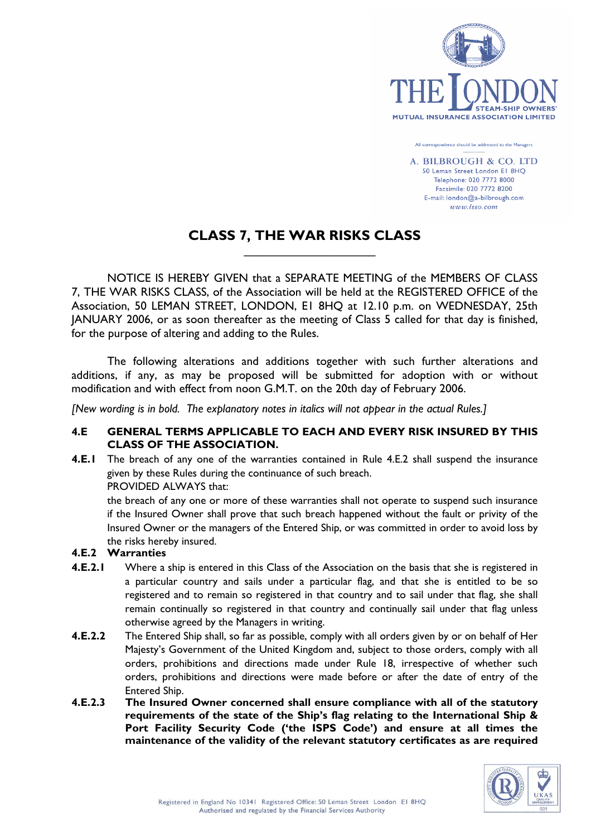

All correspondence should be addressed to the Managers

A. BILBROUGH & CO. LTD 50 Leman Street London E1 8HO Telephone: 020 7772 8000 Facsimile: 020 7772 8200 E-mail: london@a-bilbrough.com www.lsso.com

## CLASS 7, THE WAR RISKS CLASS

 $\overline{\phantom{a}}$  , and the contract of the contract of the contract of the contract of the contract of the contract of the contract of the contract of the contract of the contract of the contract of the contract of the contrac

NOTICE IS HEREBY GIVEN that a SEPARATE MEETING of the MEMBERS OF CLASS 7, THE WAR RISKS CLASS, of the Association will be held at the REGISTERED OFFICE of the Association, 50 LEMAN STREET, LONDON, E1 8HQ at 12.10 p.m. on WEDNESDAY, 25th JANUARY 2006, or as soon thereafter as the meeting of Class 5 called for that day is finished, for the purpose of altering and adding to the Rules.

 The following alterations and additions together with such further alterations and additions, if any, as may be proposed will be submitted for adoption with or without modification and with effect from noon G.M.T. on the 20th day of February 2006.

[New wording is in bold. The explanatory notes in italics will not appear in the actual Rules.]

## 4.E GENERAL TERMS APPLICABLE TO EACH AND EVERY RISK INSURED BY THIS CLASS OF THE ASSOCIATION.

4.E.1 The breach of any one of the warranties contained in Rule 4.E.2 shall suspend the insurance given by these Rules during the continuance of such breach. PROVIDED ALWAYS that:

the breach of any one or more of these warranties shall not operate to suspend such insurance if the Insured Owner shall prove that such breach happened without the fault or privity of the Insured Owner or the managers of the Entered Ship, or was committed in order to avoid loss by the risks hereby insured.

## 4.E.2 Warranties

- 4.E.2.1 Where a ship is entered in this Class of the Association on the basis that she is registered in a particular country and sails under a particular flag, and that she is entitled to be so registered and to remain so registered in that country and to sail under that flag, she shall remain continually so registered in that country and continually sail under that flag unless otherwise agreed by the Managers in writing.
- 4.E.2.2 The Entered Ship shall, so far as possible, comply with all orders given by or on behalf of Her Majesty's Government of the United Kingdom and, subject to those orders, comply with all orders, prohibitions and directions made under Rule 18, irrespective of whether such orders, prohibitions and directions were made before or after the date of entry of the Entered Ship.
- 4.E.2.3 The Insured Owner concerned shall ensure compliance with all of the statutory requirements of the state of the Ship's flag relating to the International Ship & Port Facility Security Code ('the ISPS Code') and ensure at all times the maintenance of the validity of the relevant statutory certificates as are required